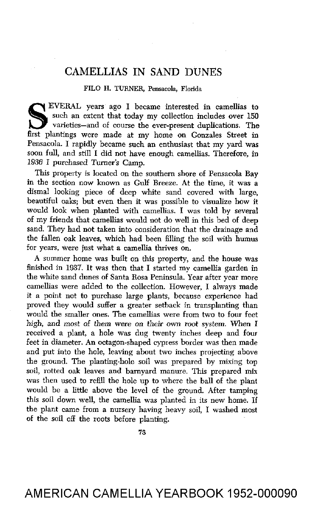## CAMELLIAS IN SAND DUNES

## FILO H. TURNER, Pens**a**cola, Flo**r**ida

**the EVERAL** years ago I became interested in camellias to such an extent that today my collection includes over 150 such an extent that today my concerton includes over 150 varieties-and of course the ever-present duplications. The first plantings were made at my home on Gonzales Street in Pensacola. I rapidly became such an enthusiast that my yard was soon full*,* and still I did not have enough camellia*s*. Theref*o*re, in *19*8*6* I p*u*rc*h*ased Turn*e*r*'s C*amp**.**

This property is located on the southern shore o**f** Pensacola Bay in the **s**ection now known as Gulf Breeze. At th*e* tim*e,* it was a dismal looking piece o**f** deep white sand covered with large, beautiful oaks; but even then it was possible to vis**u**alize how it would look when planted with camellias. I was told by several **of** my f**ri**ends that camellias would not do well in this bed o**f** deep sand. They had not taken into consideration that the drainage and the fallen oak leaves, which had been filling the soil with humus **f**or years*,* were just what a camellia thrives on**.**

A summer home wa**s** built on this property, and the house was finished in 1987. It was then that I started my camellia garden in the white sand dunes of Santa Rosa Peninsula. Year after year more camellias were added to the collection. However, I always made it a point not to purchase large plants*,* because e*x*perience had proved they would *s*uffer a greater setback in transplanting than w*o*uld the smaller **o**nes. The camell**i**as were **fr**om two to **f**our feet **h***i*g**h,** an*d mo*st *o*f them *were o*n th*e*ir *o*wn *roo*t *s*ystem. Wh*e*n I received a plant, a hole was dug twenty inches de*e*p and four feet in diameter. *A*n octagon-shaped cypress border was then mad*e* and put into the hole, leaving about two inches pro**j**ecting ab*o*ve the ground. The planting-hole soil was prepared by mixing top soil, rotted oak leaves and barnyard manure. This prepar*e*d mix was then used to refill the hole up to where the ball of the plant would be a li**t**tle above the level of the ground. After tamp*i*ng this soil down well*,* the camellia was planted in its new home. If the plant came from a nursery having heavy soil*,* I washed mos**t o**f the s**o**il off the ro**o**ts bef**o**re planting.

7**3**

AMERICAN CAMELLIA YEARBOOK 1952-000090